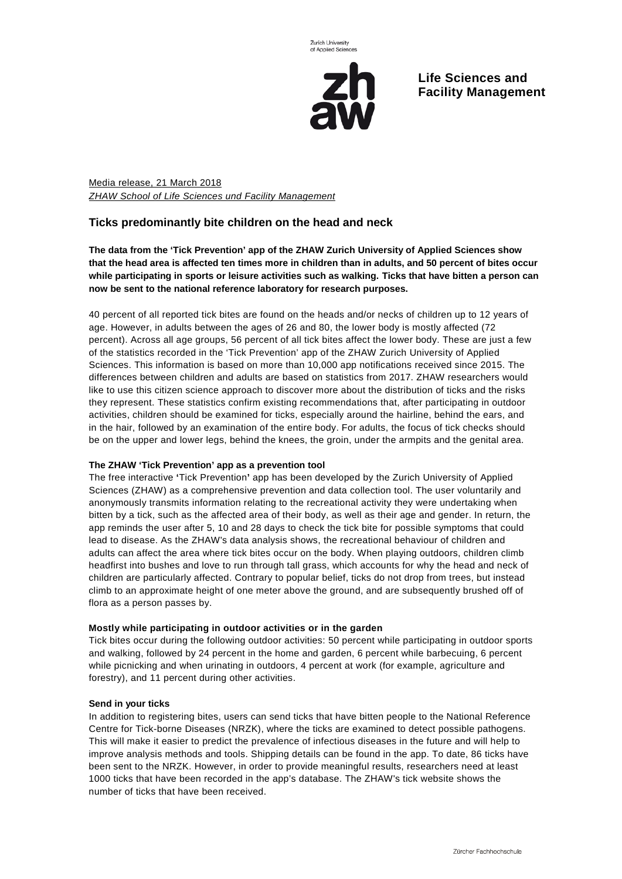

**Life Sciences and Facility Management**

Media release, 21 March 2018 *ZHAW School of Life Sciences und Facility Management*

## **Ticks predominantly bite children on the head and neck**

**The data from the 'Tick Prevention' app of the ZHAW Zurich University of Applied Sciences show** that the head area is affected ten times more in children than in adults, and 50 percent of bites occur **while participating in sports or leisure activities such as walking. Ticks that have bitten a person can now be sent to the national reference laboratory for research purposes.**

40 percent of all reported tick bites are found on the heads and/or necks of children up to 12 years of age. However, in adults between the ages of 26 and 80, the lower body is mostly affected (72 percent). Across all age groups, 56 percent of all tick bites affect the lower body. These are just a few of the statistics recorded in the 'Tick Prevention' app of the ZHAW Zurich University of Applied Sciences. This information is based on more than 10,000 app notifications received since 2015. The differences between children and adults are based on statistics from 2017. ZHAW researchers would like to use this citizen science approach to discover more about the distribution of ticks and the risks they represent. These statistics confirm existing recommendations that, after participating in outdoor activities, children should be examined for ticks, especially around the hairline, behind the ears, and in the hair, followed by an examination of the entire body. For adults, the focus of tick checks should be on the upper and lower legs, behind the knees, the groin, under the armpits and the genital area.

## **The ZHAW 'Tick Prevention' app as a prevention tool**

The free interactive **'**Tick Prevention**'** app has been developed by the Zurich University of Applied Sciences (ZHAW) as a comprehensive prevention and data collection tool. The user voluntarily and anonymously transmits information relating to the recreational activity they were undertaking when bitten by a tick, such as the affected area of their body, as well as their age and gender. In return, the app reminds the user after 5, 10 and 28 days to check the tick bite for possible symptoms that could lead to disease. As the ZHAW's data analysis shows, the recreational behaviour of children and adults can affect the area where tick bites occur on the body. When playing outdoors, children climb headfirst into bushes and love to run through tall grass, which accounts for why the head and neck of children are particularly affected. Contrary to popular belief, ticks do not drop from trees, but instead climb to an approximate height of one meter above the ground, and are subsequently brushed off of flora as a person passes by.

## **Mostly while participating in outdoor activities or in the garden**

Tick bites occur during the following outdoor activities: 50 percent while participating in outdoor sports and walking, followed by 24 percent in the home and garden, 6 percent while barbecuing, 6 percent while picnicking and when urinating in outdoors, 4 percent at work (for example, agriculture and forestry), and 11 percent during other activities.

## **Send in your ticks**

In addition to registering bites, users can send ticks that have bitten people to the National Reference Centre for Tick-borne Diseases (NRZK), where the ticks are examined to detect possible pathogens. This will make it easier to predict the prevalence of infectious diseases in the future and will help to improve analysis methods and tools. Shipping details can be found in the app. To date, 86 ticks have been sent to the NRZK. However, in order to provide meaningful results, researchers need at least 1000 ticks that have been recorded in the app's database. The ZHAW's tick website shows the number of ticks that have been received.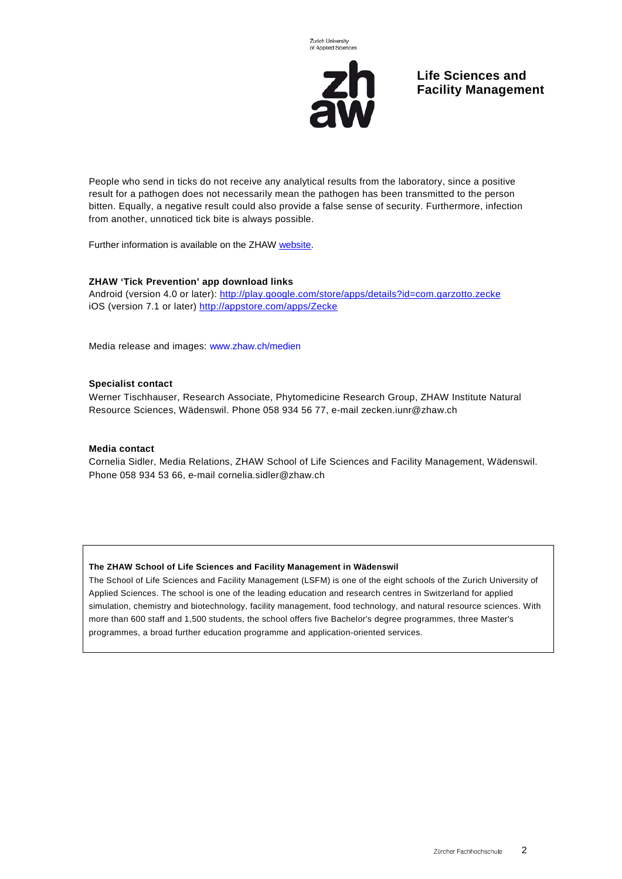

**Life Sciences and Facility Management**

People who send in ticks do not receive any analytical results from the laboratory, since a positive result for a pathogen does not necessarily mean the pathogen has been transmitted to the person bitten. Equally, a negative result could also provide a false sense of security. Furthermore, infection from another, unnoticed tick bite is always possible.

Further information is available on the ZHAW [website.](https://www.zhaw.ch/en/lsfm/business-services/institute-of-natural-resource-sciences/ticks/)

#### **ZHAW 'Tick Prevention' app download links**

Android (version 4.0 or later): [http://play.google.com/store/apps/details?id=com.garzotto.zecke](https://play.google.com/store/apps/details?id=com.garzotto.zecke) iOS (version 7.1 or later)<http://appstore.com/apps/Zecke>

Media release and images: www.zhaw.ch/medien

#### **Specialist contact**

Werner Tischhauser, Research Associate, Phytomedicine Research Group, ZHAW Institute Natural Resource Sciences, Wädenswil. Phone 058 934 56 77, e-mail [zecken.iunr@zhaw.ch](mailto:zecken.iunr@zhaw.ch)

#### **Media contact**

Cornelia Sidler, Media Relations, ZHAW School of Life Sciences and Facility Management, Wädenswil. Phone 058 934 53 66, e-mail [cornelia.sidler@zhaw.ch](mailto:cornelia.sidler@zhaw.ch)

#### **The ZHAW School of Life Sciences and Facility Management in Wädenswil**

The School of Life Sciences and Facility Management (LSFM) is one of the eight schools of the Zurich University of Applied Sciences. The school is one of the leading education and research centres in Switzerland for applied simulation, chemistry and biotechnology, facility management, food technology, and natural resource sciences. With more than 600 staff and 1,500 students, the school offers five Bachelor's degree programmes, three Master's programmes, a broad further education programme and application-oriented services.